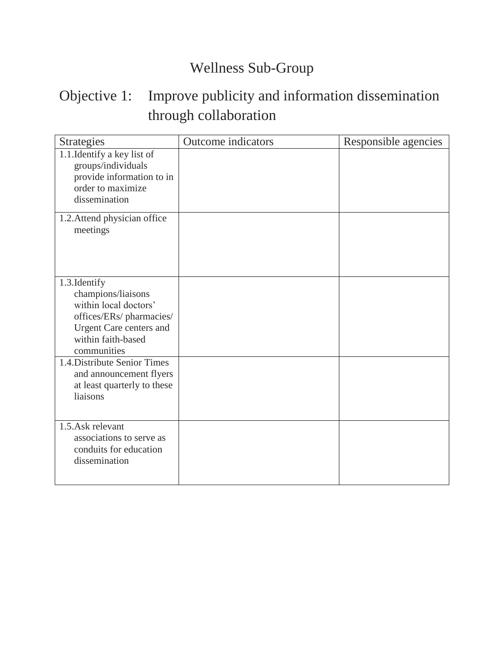# Wellness Sub-Group

# Objective 1: Improve publicity and information dissemination through collaboration

| <b>Strategies</b>                                                                                                                                               | <b>Outcome</b> indicators | Responsible agencies |
|-----------------------------------------------------------------------------------------------------------------------------------------------------------------|---------------------------|----------------------|
| 1.1. Identify a key list of<br>groups/individuals<br>provide information to in<br>order to maximize<br>dissemination                                            |                           |                      |
| 1.2. Attend physician office<br>meetings                                                                                                                        |                           |                      |
| 1.3. Identify<br>champions/liaisons<br>within local doctors'<br>offices/ERs/ pharmacies/<br><b>Urgent Care centers and</b><br>within faith-based<br>communities |                           |                      |
| 1.4. Distribute Senior Times<br>and announcement flyers<br>at least quarterly to these<br>liaisons                                                              |                           |                      |
| 1.5. Ask relevant<br>associations to serve as<br>conduits for education<br>dissemination                                                                        |                           |                      |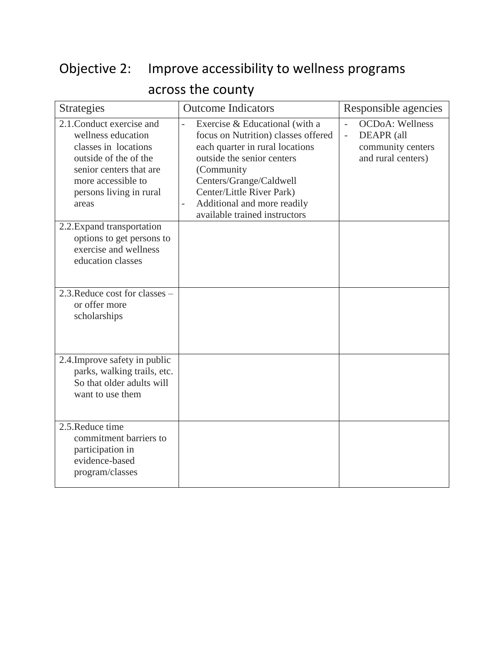### Objective 2: Improve accessibility to wellness programs

| <b>Strategies</b>                                                                                                                                                                     | <b>Outcome Indicators</b>                                                                                                                                                                                                                                                                                                  | Responsible agencies                                                                                                |
|---------------------------------------------------------------------------------------------------------------------------------------------------------------------------------------|----------------------------------------------------------------------------------------------------------------------------------------------------------------------------------------------------------------------------------------------------------------------------------------------------------------------------|---------------------------------------------------------------------------------------------------------------------|
| 2.1. Conduct exercise and<br>wellness education<br>classes in locations<br>outside of the of the<br>senior centers that are<br>more accessible to<br>persons living in rural<br>areas | Exercise & Educational (with a<br>$\overline{a}$<br>focus on Nutrition) classes offered<br>each quarter in rural locations<br>outside the senior centers<br>(Community<br>Centers/Grange/Caldwell<br>Center/Little River Park)<br>Additional and more readily<br>$\overline{\phantom{0}}$<br>available trained instructors | <b>OCDoA: Wellness</b><br>$\overline{a}$<br>DEAPR (all<br>$\overline{a}$<br>community centers<br>and rural centers) |
| 2.2. Expand transportation<br>options to get persons to<br>exercise and wellness<br>education classes                                                                                 |                                                                                                                                                                                                                                                                                                                            |                                                                                                                     |
| 2.3. Reduce cost for classes -<br>or offer more<br>scholarships                                                                                                                       |                                                                                                                                                                                                                                                                                                                            |                                                                                                                     |
| 2.4. Improve safety in public<br>parks, walking trails, etc.<br>So that older adults will<br>want to use them                                                                         |                                                                                                                                                                                                                                                                                                                            |                                                                                                                     |
| 2.5. Reduce time<br>commitment barriers to<br>participation in<br>evidence-based<br>program/classes                                                                                   |                                                                                                                                                                                                                                                                                                                            |                                                                                                                     |

### across the county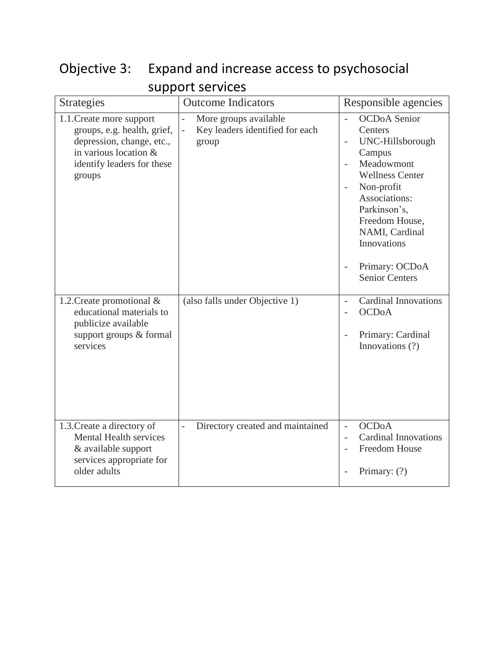#### Objective 3: Expand and increase access to psychosocial support services

| <b>Strategies</b>                                                                                                                                     | <b>Outcome Indicators</b>                                                                                       | Responsible agencies                                                                                                                                                                                                                                                |
|-------------------------------------------------------------------------------------------------------------------------------------------------------|-----------------------------------------------------------------------------------------------------------------|---------------------------------------------------------------------------------------------------------------------------------------------------------------------------------------------------------------------------------------------------------------------|
| 1.1. Create more support<br>groups, e.g. health, grief,<br>depression, change, etc.,<br>in various location &<br>identify leaders for these<br>groups | More groups available<br>$\overline{a}$<br>Key leaders identified for each<br>$\overline{\phantom{0}}$<br>group | <b>OCDoA</b> Senior<br>Centers<br>UNC-Hillsborough<br>Campus<br>Meadowmont<br>$\overline{a}$<br><b>Wellness Center</b><br>Non-profit<br>Associations:<br>Parkinson's,<br>Freedom House,<br>NAMI, Cardinal<br>Innovations<br>Primary: OCDoA<br><b>Senior Centers</b> |
| 1.2. Create promotional &<br>educational materials to<br>publicize available<br>support groups & formal<br>services                                   | (also falls under Objective 1)                                                                                  | <b>Cardinal Innovations</b><br><b>OCDoA</b><br>Primary: Cardinal<br>Innovations (?)                                                                                                                                                                                 |
| 1.3. Create a directory of<br><b>Mental Health services</b><br>& available support<br>services appropriate for<br>older adults                        | Directory created and maintained<br>$\overline{\phantom{0}}$                                                    | <b>OCDoA</b><br>$\frac{1}{2}$<br><b>Cardinal Innovations</b><br>$\overline{\phantom{a}}$<br>Freedom House<br>Primary: (?)                                                                                                                                           |